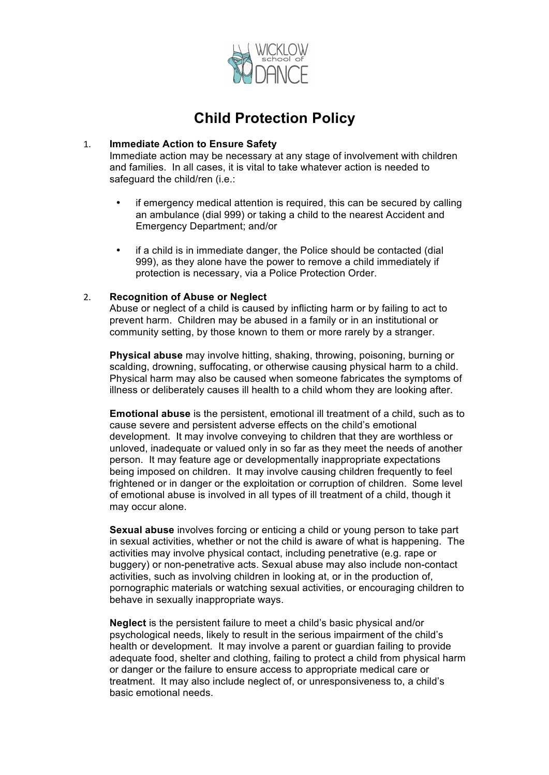

# **Child Protection Policy**

# 1. **Immediate Action to Ensure Safety**

Immediate action may be necessary at any stage of involvement with children and families. In all cases, it is vital to take whatever action is needed to safeguard the child/ren (i.e.:

- if emergency medical attention is required, this can be secured by calling an ambulance (dial 999) or taking a child to the nearest Accident and Emergency Department; and/or
- if a child is in immediate danger, the Police should be contacted (dial 999), as they alone have the power to remove a child immediately if protection is necessary, via a Police Protection Order.

# 2. **Recognition of Abuse or Neglect**

Abuse or neglect of a child is caused by inflicting harm or by failing to act to prevent harm. Children may be abused in a family or in an institutional or community setting, by those known to them or more rarely by a stranger.

**Physical abuse** may involve hitting, shaking, throwing, poisoning, burning or scalding, drowning, suffocating, or otherwise causing physical harm to a child. Physical harm may also be caused when someone fabricates the symptoms of illness or deliberately causes ill health to a child whom they are looking after.

**Emotional abuse** is the persistent, emotional ill treatment of a child, such as to cause severe and persistent adverse effects on the child's emotional development. It may involve conveying to children that they are worthless or unloved, inadequate or valued only in so far as they meet the needs of another person. It may feature age or developmentally inappropriate expectations being imposed on children. It may involve causing children frequently to feel frightened or in danger or the exploitation or corruption of children. Some level of emotional abuse is involved in all types of ill treatment of a child, though it may occur alone.

**Sexual abuse** involves forcing or enticing a child or young person to take part in sexual activities, whether or not the child is aware of what is happening. The activities may involve physical contact, including penetrative (e.g. rape or buggery) or non-penetrative acts. Sexual abuse may also include non-contact activities, such as involving children in looking at, or in the production of, pornographic materials or watching sexual activities, or encouraging children to behave in sexually inappropriate ways.

**Neglect** is the persistent failure to meet a child's basic physical and/or psychological needs, likely to result in the serious impairment of the child's health or development. It may involve a parent or guardian failing to provide adequate food, shelter and clothing, failing to protect a child from physical harm or danger or the failure to ensure access to appropriate medical care or treatment. It may also include neglect of, or unresponsiveness to, a child's basic emotional needs.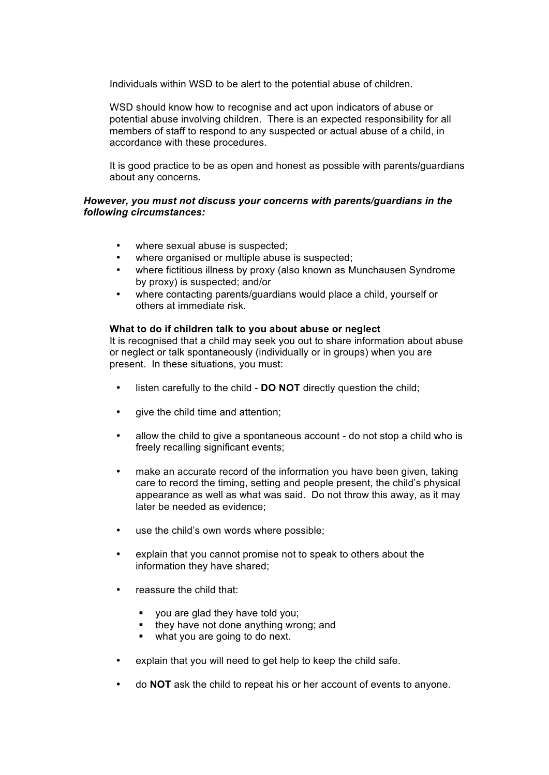Individuals within WSD to be alert to the potential abuse of children.

WSD should know how to recognise and act upon indicators of abuse or potential abuse involving children. There is an expected responsibility for all members of staff to respond to any suspected or actual abuse of a child, in accordance with these procedures.

It is good practice to be as open and honest as possible with parents/guardians about any concerns.

## *However, you must not discuss your concerns with parents/guardians in the following circumstances:*

- where sexual abuse is suspected;
- where organised or multiple abuse is suspected:
- where fictitious illness by proxy (also known as Munchausen Syndrome by proxy) is suspected; and/or
- where contacting parents/guardians would place a child, yourself or others at immediate risk.

## **What to do if children talk to you about abuse or neglect**

It is recognised that a child may seek you out to share information about abuse or neglect or talk spontaneously (individually or in groups) when you are present. In these situations, you must:

- listen carefully to the child **DO NOT** directly question the child;
- give the child time and attention;
- allow the child to give a spontaneous account do not stop a child who is freely recalling significant events;
- make an accurate record of the information you have been given, taking care to record the timing, setting and people present, the child's physical appearance as well as what was said. Do not throw this away, as it may later be needed as evidence;
- use the child's own words where possible;
- explain that you cannot promise not to speak to others about the information they have shared;
- reassure the child that:
	- you are glad they have told you;
	- § they have not done anything wrong; and
	- what you are going to do next.
- explain that you will need to get help to keep the child safe.
- do **NOT** ask the child to repeat his or her account of events to anyone.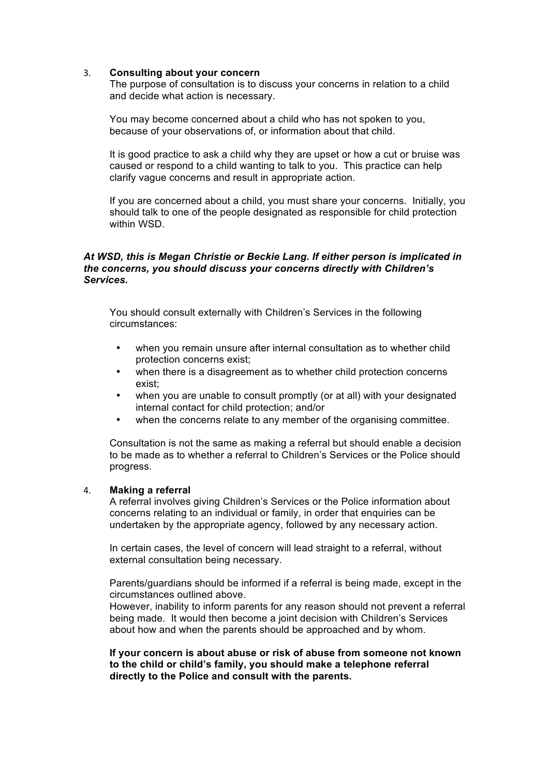#### 3. **Consulting about your concern**

The purpose of consultation is to discuss your concerns in relation to a child and decide what action is necessary.

You may become concerned about a child who has not spoken to you, because of your observations of, or information about that child.

It is good practice to ask a child why they are upset or how a cut or bruise was caused or respond to a child wanting to talk to you. This practice can help clarify vague concerns and result in appropriate action.

If you are concerned about a child, you must share your concerns. Initially, you should talk to one of the people designated as responsible for child protection within WSD.

## *At WSD, this is Megan Christie or Beckie Lang. If either person is implicated in the concerns, you should discuss your concerns directly with Children's Services.*

You should consult externally with Children's Services in the following circumstances:

- when you remain unsure after internal consultation as to whether child protection concerns exist;
- when there is a disagreement as to whether child protection concerns exist;
- when you are unable to consult promptly (or at all) with your designated internal contact for child protection; and/or
- when the concerns relate to any member of the organising committee.

Consultation is not the same as making a referral but should enable a decision to be made as to whether a referral to Children's Services or the Police should progress.

#### 4. **Making a referral**

A referral involves giving Children's Services or the Police information about concerns relating to an individual or family, in order that enquiries can be undertaken by the appropriate agency, followed by any necessary action.

In certain cases, the level of concern will lead straight to a referral, without external consultation being necessary.

Parents/guardians should be informed if a referral is being made, except in the circumstances outlined above.

However, inability to inform parents for any reason should not prevent a referral being made. It would then become a joint decision with Children's Services about how and when the parents should be approached and by whom.

**If your concern is about abuse or risk of abuse from someone not known to the child or child's family, you should make a telephone referral directly to the Police and consult with the parents.**